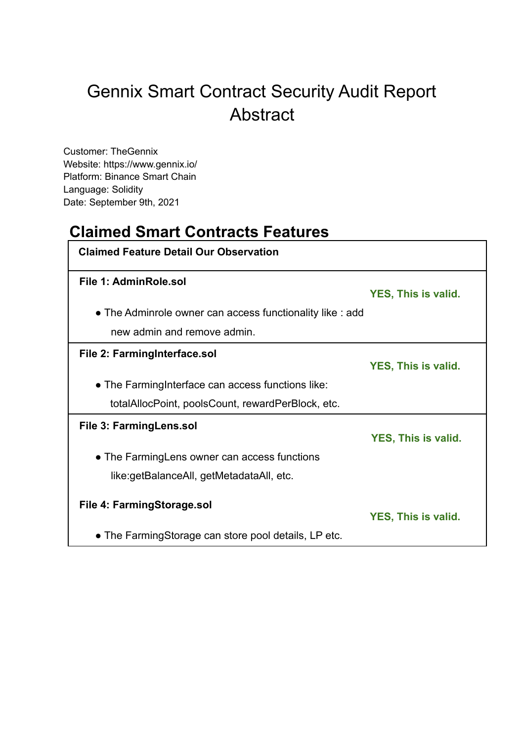# Gennix Smart Contract Security Audit Report Abstract

Customer: TheGennix Website: https://www.gennix.io/ Platform: Binance Smart Chain Language: Solidity Date: September 9th, 2021

## **Claimed Smart Contracts Features**

| <b>Claimed Feature Detail Our Observation</b>             |                            |
|-----------------------------------------------------------|----------------------------|
| File 1: AdminRole.sol                                     | <b>YES, This is valid.</b> |
| • The Adminrole owner can access functionality like : add |                            |
| new admin and remove admin.                               |                            |
| File 2: FarmingInterface.sol                              | <b>YES, This is valid.</b> |
| • The Farming Interface can access functions like:        |                            |
| totalAllocPoint, poolsCount, rewardPerBlock, etc.         |                            |
| File 3: FarmingLens.sol                                   | <b>YES, This is valid.</b> |
| • The Farming Lens owner can access functions             |                            |
| like:getBalanceAll, getMetadataAll, etc.                  |                            |
| File 4: FarmingStorage.sol                                | <b>YES, This is valid.</b> |
| • The FarmingStorage can store pool details, LP etc.      |                            |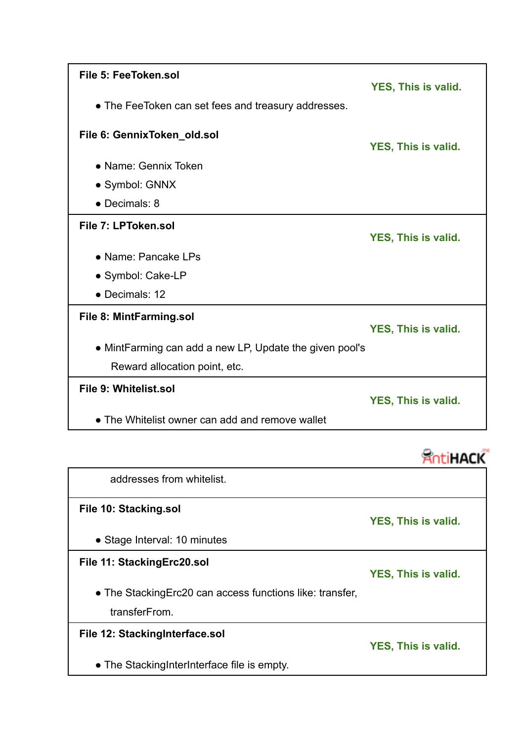| File 5: FeeToken.sol                                    |                            |
|---------------------------------------------------------|----------------------------|
| • The FeeToken can set fees and treasury addresses.     | YES, This is valid.        |
| File 6: GennixToken_old.sol                             | YES, This is valid.        |
| • Name: Gennix Token                                    |                            |
| • Symbol: GNNX                                          |                            |
| • Decimals: 8                                           |                            |
| File 7: LPToken.sol                                     | <b>YES, This is valid.</b> |
| • Name: Pancake LPs                                     |                            |
| • Symbol: Cake-LP                                       |                            |
| • Decimals: 12                                          |                            |
| File 8: MintFarming.sol                                 | YES, This is valid.        |
| • MintFarming can add a new LP, Update the given pool's |                            |
| Reward allocation point, etc.                           |                            |
| File 9: Whitelist.sol                                   | <b>YES, This is valid.</b> |
| • The Whitelist owner can add and remove wallet         |                            |



| addresses from whitelist.                                 |                            |
|-----------------------------------------------------------|----------------------------|
| File 10: Stacking.sol                                     | YES, This is valid.        |
| • Stage Interval: 10 minutes                              |                            |
| File 11: Stacking Erc20.sol                               | <b>YES, This is valid.</b> |
| • The Stacking Erc20 can access functions like: transfer, |                            |
| transferFrom.                                             |                            |
| File 12: StackingInterface.sol                            | YES, This is valid.        |
| • The Stacking InterInterface file is empty.              |                            |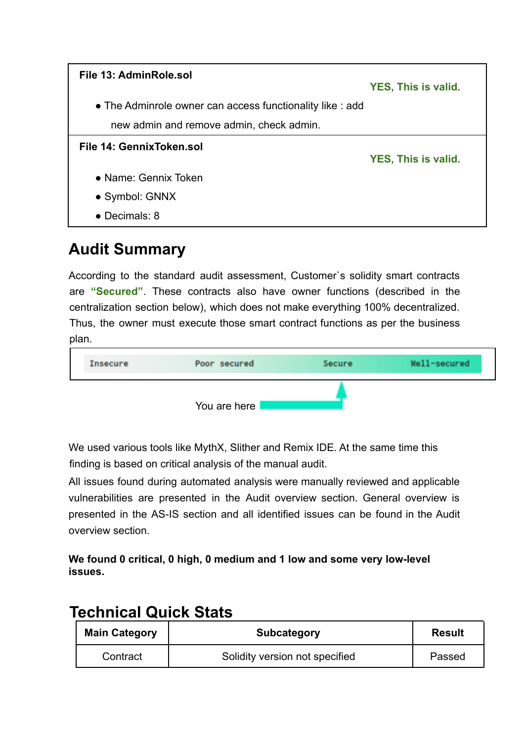

## **Audit Summary**

According to the standard audit assessment, Customer`s solidity smart contracts are **"Secured"**. These contracts also have owner functions (described in the centralization section below), which does not make everything 100% decentralized. Thus, the owner must execute those smart contract functions as per the business plan.



We used various tools like MythX, Slither and Remix IDE. At the same time this finding is based on critical analysis of the manual audit.

All issues found during automated analysis were manually reviewed and applicable vulnerabilities are presented in the Audit overview section. General overview is presented in the AS-IS section and all identified issues can be found in the Audit overview section.

**We found 0 critical, 0 high, 0 medium and 1 low and some very low-level issues.**

## **Technical Quick Stats**

| <b>Main Category</b> | <b>Subcategory</b>             | <b>Result</b> |
|----------------------|--------------------------------|---------------|
| Contract             | Solidity version not specified | Passed        |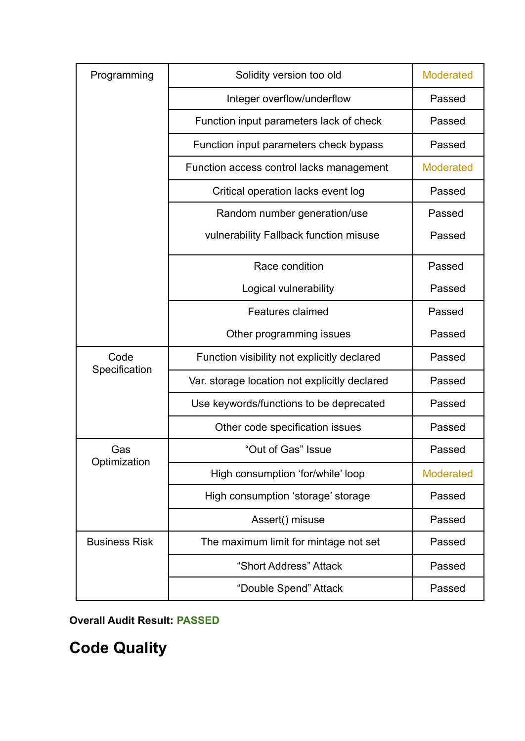| Solidity version too old<br>Programming |                                               | <b>Moderated</b> |
|-----------------------------------------|-----------------------------------------------|------------------|
|                                         | Integer overflow/underflow                    | Passed           |
|                                         | Function input parameters lack of check       | Passed           |
|                                         | Function input parameters check bypass        | Passed           |
|                                         | Function access control lacks management      | <b>Moderated</b> |
|                                         | Critical operation lacks event log            | Passed           |
|                                         | Random number generation/use                  | Passed           |
|                                         | vulnerability Fallback function misuse        | Passed           |
|                                         | Race condition                                | Passed           |
|                                         | Logical vulnerability                         | Passed           |
|                                         | <b>Features claimed</b>                       | Passed           |
|                                         | Other programming issues                      | Passed           |
| Code                                    | Function visibility not explicitly declared   | Passed           |
| Specification                           | Var. storage location not explicitly declared | Passed           |
|                                         | Use keywords/functions to be deprecated       | Passed           |
|                                         | Other code specification issues               | Passed           |
| Gas                                     | "Out of Gas" Issue                            | Passed           |
| Optimization                            | High consumption 'for/while' loop             | <b>Moderated</b> |
|                                         | High consumption 'storage' storage            | Passed           |
|                                         | Assert() misuse                               | Passed           |
| <b>Business Risk</b>                    | The maximum limit for mintage not set         | Passed           |
|                                         | "Short Address" Attack                        | Passed           |
|                                         | "Double Spend" Attack                         | Passed           |

**Overall Audit Result: PASSED**

**Code Quality**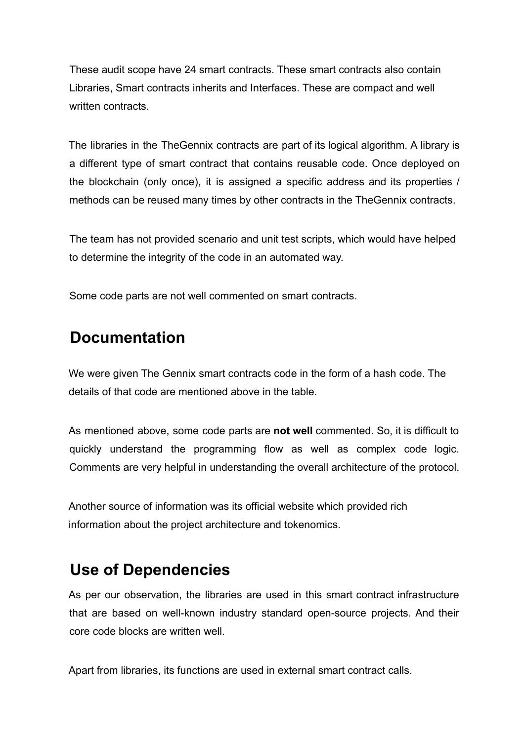These audit scope have 24 smart contracts. These smart contracts also contain Libraries, Smart contracts inherits and Interfaces. These are compact and well written contracts.

The libraries in the TheGennix contracts are part of its logical algorithm. A library is a different type of smart contract that contains reusable code. Once deployed on the blockchain (only once), it is assigned a specific address and its properties / methods can be reused many times by other contracts in the TheGennix contracts.

The team has not provided scenario and unit test scripts, which would have helped to determine the integrity of the code in an automated way.

Some code parts are not well commented on smart contracts.

## **Documentation**

We were given The Gennix smart contracts code in the form of a hash code. The details of that code are mentioned above in the table.

As mentioned above, some code parts are **not well** commented. So, it is difficult to quickly understand the programming flow as well as complex code logic. Comments are very helpful in understanding the overall architecture of the protocol.

Another source of information was its official website which provided rich information about the project architecture and tokenomics.

## **Use of Dependencies**

As per our observation, the libraries are used in this smart contract infrastructure that are based on well-known industry standard open-source projects. And their core code blocks are written well.

Apart from libraries, its functions are used in external smart contract calls.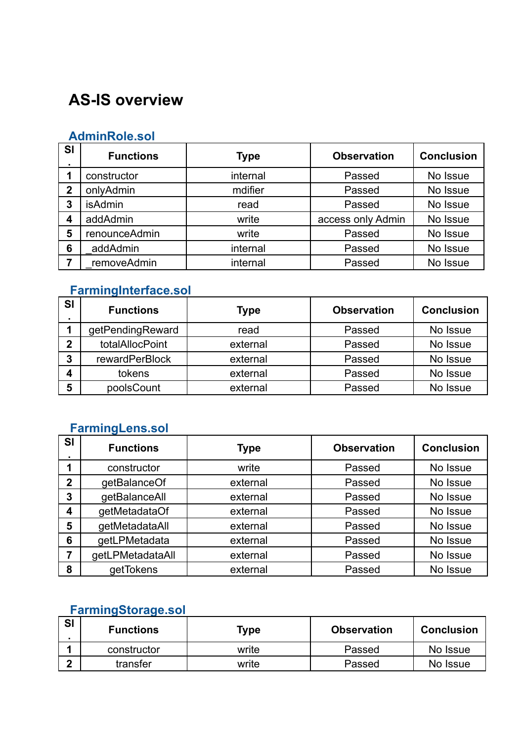# **AS-IS overview**

#### **AdminRole.sol**

| <b>SI</b>      | <b>Functions</b> | <b>Type</b> | <b>Observation</b> | <b>Conclusion</b> |
|----------------|------------------|-------------|--------------------|-------------------|
|                | constructor      | internal    | Passed             | No Issue          |
| $\overline{2}$ | onlyAdmin        | mdifier     | Passed             | No Issue          |
| 3              | <b>isAdmin</b>   | read        | Passed             | No Issue          |
| 4              | addAdmin         | write       | access only Admin  | No Issue          |
| 5              | renounceAdmin    | write       | Passed             | No Issue          |
| 6              | addAdmin         | internal    | Passed             | No Issue          |
|                | removeAdmin      | internal    | Passed             | No Issue          |

## **FarmingInterface.sol**

| <b>SI</b> | <b>Functions</b>      | Type     | <b>Observation</b> | <b>Conclusion</b> |
|-----------|-----------------------|----------|--------------------|-------------------|
|           | getPendingReward      | read     | Passed             | No Issue          |
| 2         | totalAllocPoint       | external | Passed             | No Issue          |
| っ         | <b>rewardPerBlock</b> | external | Passed             | No Issue          |
| 4         | tokens                | external | Passed             | No Issue          |
| 5         | poolsCount            | external | Passed             | No Issue          |

### **FarmingLens.sol**

| <b>SI</b>    | <b>Functions</b> | <b>Type</b> | <b>Observation</b> | <b>Conclusion</b> |
|--------------|------------------|-------------|--------------------|-------------------|
|              | constructor      | write       | Passed             | No Issue          |
| $\mathbf{2}$ | getBalanceOf     | external    | Passed             | No Issue          |
| 3            | getBalanceAll    | external    | Passed             | No Issue          |
| 4            | getMetadataOf    | external    | Passed             | No Issue          |
| 5            | getMetadataAll   | external    | Passed             | No Issue          |
| 6            | getLPMetadata    | external    | Passed             | No Issue          |
| 7            | getLPMetadataAll | external    | Passed             | No Issue          |
| 8            | getTokens        | external    | Passed             | No Issue          |

### **FarmingStorage.sol**

| <b>SI</b> | <b>Functions</b> | Type  | <b>Observation</b> | <b>Conclusion</b> |
|-----------|------------------|-------|--------------------|-------------------|
|           | constructor      | write | Passed             | No Issue          |
| n         | transfer         | write | Passed             | No Issue          |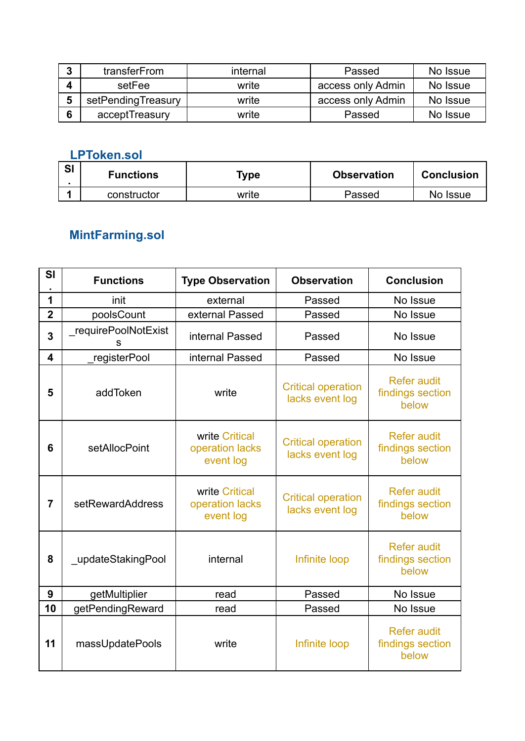| 4 | transferFrom       | internal | Passed            | No Issue |
|---|--------------------|----------|-------------------|----------|
|   | setFee             | write    | access only Admin | No Issue |
|   | setPendingTreasury | write    | access only Admin | No Issue |
| c | acceptTreasury     | write    | Passed            | No Issue |

## **LPToken.sol**

| <b>SI</b> | <b>Functions</b> | Type  | <b>Observation</b> | <b>Conclusion</b> |
|-----------|------------------|-------|--------------------|-------------------|
|           | constructor      | write | Passed             | No Issue          |

## **MintFarming.sol**

| SI                      | <b>Functions</b>         | <b>Type Observation</b>                        | <b>Observation</b>                           | <b>Conclusion</b>                               |
|-------------------------|--------------------------|------------------------------------------------|----------------------------------------------|-------------------------------------------------|
| 1                       | init                     | external                                       | Passed                                       | No Issue                                        |
| $\overline{2}$          | poolsCount               | external Passed                                | Passed                                       | No Issue                                        |
| $\overline{\mathbf{3}}$ | requirePoolNotExist<br>s | internal Passed                                | Passed                                       | No Issue                                        |
| $\overline{\mathbf{4}}$ | registerPool             | internal Passed                                | Passed                                       | No Issue                                        |
| 5                       | addToken                 | write                                          | <b>Critical operation</b><br>lacks event log | <b>Refer audit</b><br>findings section<br>below |
| 6                       | setAllocPoint            | write Critical<br>operation lacks<br>event log | <b>Critical operation</b><br>lacks event log | <b>Refer audit</b><br>findings section<br>below |
| 7                       | setRewardAddress         | write Critical<br>operation lacks<br>event log | <b>Critical operation</b><br>lacks event log | <b>Refer audit</b><br>findings section<br>below |
| 8                       | updateStakingPool        | internal                                       | Infinite loop                                | <b>Refer audit</b><br>findings section<br>below |
| 9                       | getMultiplier            | read                                           | Passed                                       | No Issue                                        |
| 10                      | getPendingReward         | read                                           | Passed                                       | No Issue                                        |
| 11                      | massUpdatePools          | write                                          | Infinite loop                                | <b>Refer audit</b><br>findings section<br>below |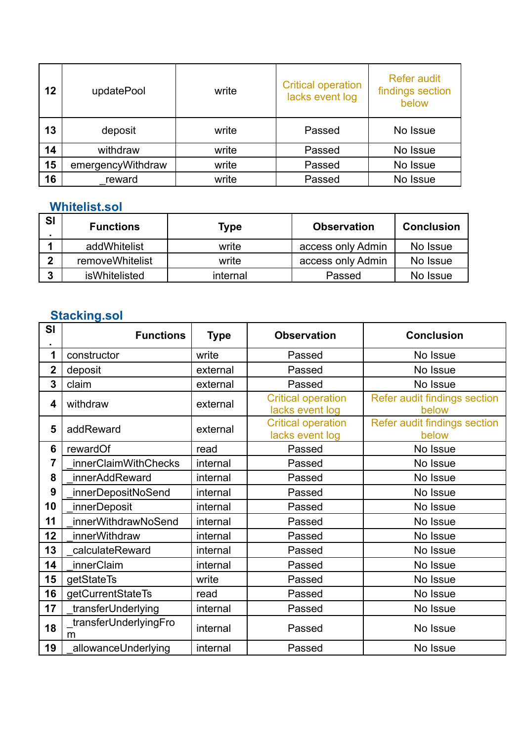| 12 | updatePool        | write | <b>Critical operation</b><br>lacks event log | <b>Refer audit</b><br>findings section<br>below |
|----|-------------------|-------|----------------------------------------------|-------------------------------------------------|
| 13 | deposit           | write | Passed                                       | No Issue                                        |
| 14 | withdraw          | write | Passed                                       | No Issue                                        |
| 15 | emergencyWithdraw | write | Passed                                       | No Issue                                        |
| 16 | reward            | write | Passed                                       | No Issue                                        |

## **Whitelist.sol**

| <b>SI</b> | <b>Functions</b> | Type     | <b>Observation</b> | <b>Conclusion</b> |
|-----------|------------------|----------|--------------------|-------------------|
|           | addWhitelist     | write    | access only Admin  | No Issue          |
| ◠         | removeWhitelist  | write    | access only Admin  | No Issue          |
| ◠         | isWhitelisted    | internal | Passed             | No Issue          |

## **Stacking.sol**

| SI             | <b>Functions</b>           | <b>Type</b> | <b>Observation</b>                           | <b>Conclusion</b>                     |
|----------------|----------------------------|-------------|----------------------------------------------|---------------------------------------|
| 1              | constructor                | write       | Passed                                       | No Issue                              |
| $\overline{2}$ | deposit                    | external    | Passed                                       | No Issue                              |
| 3              | claim                      | external    | Passed                                       | No Issue                              |
| 4              | withdraw                   | external    | <b>Critical operation</b><br>lacks event log | Refer audit findings section<br>below |
| 5              | addReward                  | external    | <b>Critical operation</b><br>lacks event log | Refer audit findings section<br>below |
| 6              | rewardOf                   | read        | Passed                                       | No Issue                              |
| $\overline{7}$ | innerClaimWithChecks       | internal    | Passed                                       | No Issue                              |
| 8              | innerAddReward             | internal    | Passed                                       | No Issue                              |
| 9              | innerDepositNoSend         | internal    | Passed                                       | No Issue                              |
| 10             | <i>innerDeposit</i>        | internal    | Passed                                       | No Issue                              |
| 11             | innerWithdrawNoSend        | internal    | Passed                                       | No Issue                              |
| 12             | innerWithdraw              | internal    | Passed                                       | No Issue                              |
| 13             | calculateReward            | internal    | Passed                                       | No Issue                              |
| 14             | innerClaim                 | internal    | Passed                                       | No Issue                              |
| 15             | getStateTs                 | write       | Passed                                       | No Issue                              |
| 16             | getCurrentStateTs          | read        | Passed                                       | No Issue                              |
| 17             | transferUnderlying         | internal    | Passed                                       | No Issue                              |
| 18             | transferUnderlyingFro<br>m | internal    | Passed                                       | No Issue                              |
| 19             | allowanceUnderlying        | internal    | Passed                                       | No Issue                              |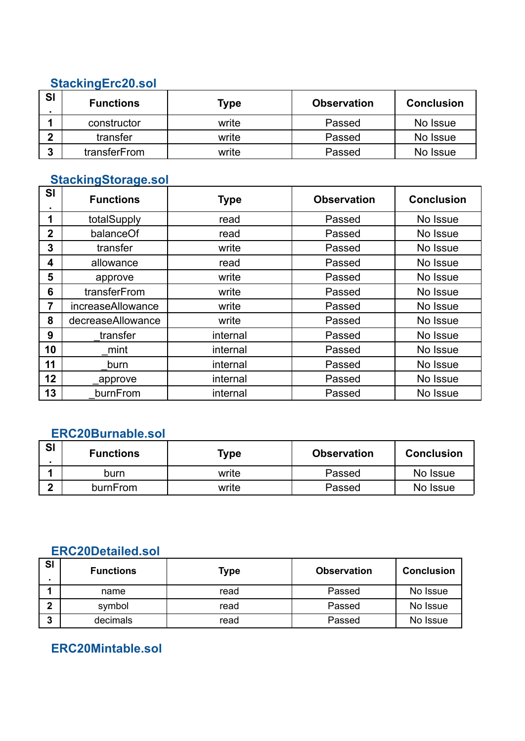#### **StackingErc20.sol**

| SI | <b>Functions</b> | Type  | <b>Observation</b> | <b>Conclusion</b> |
|----|------------------|-------|--------------------|-------------------|
|    | constructor      | write | Passed             | No Issue          |
|    | transfer         | write | Passed             | No Issue          |
| ∍  | transferFrom     | write | Passed             | No Issue          |

### **StackingStorage.sol**

| <b>SI</b>      | <b>Functions</b>  | <b>Type</b> | <b>Observation</b> | <b>Conclusion</b> |
|----------------|-------------------|-------------|--------------------|-------------------|
| 1              | totalSupply       | read        | Passed             | No Issue          |
| $\overline{2}$ | balanceOf         | read        | Passed             | No Issue          |
| 3              | transfer          | write       | Passed             | No Issue          |
| 4              | allowance         | read        | Passed             | No Issue          |
| 5              | approve           | write       | Passed             | No Issue          |
| 6              | transferFrom      | write       | Passed             | No Issue          |
| 7              | increaseAllowance | write       | Passed             | No Issue          |
| 8              | decreaseAllowance | write       | Passed             | No Issue          |
| 9              | transfer          | internal    | Passed             | No Issue          |
| 10             | mint              | internal    | Passed             | No Issue          |
| 11             | burn              | internal    | Passed             | No Issue          |
| 12             | _approve          | internal    | Passed             | No Issue          |
| 13             | burnFrom          | internal    | Passed             | No Issue          |

#### **ERC20Burnable.sol**

| SI | <b>Functions</b> | Type  | <b>Observation</b> | <b>Conclusion</b> |
|----|------------------|-------|--------------------|-------------------|
|    | burn             | write | Passed             | No Issue          |
|    | burnFrom         | write | Passed             | No Issue          |

### **ERC20Detailed.sol**

| <b>SI</b> | <b>Functions</b> | <b>Type</b> | <b>Observation</b> | <b>Conclusion</b> |
|-----------|------------------|-------------|--------------------|-------------------|
|           | name             | read        | Passed             | No Issue          |
|           | symbol           | read        | Passed             | No Issue          |
| ≏         | decimals         | read        | Passed             | No Issue          |

### **ERC20Mintable.sol**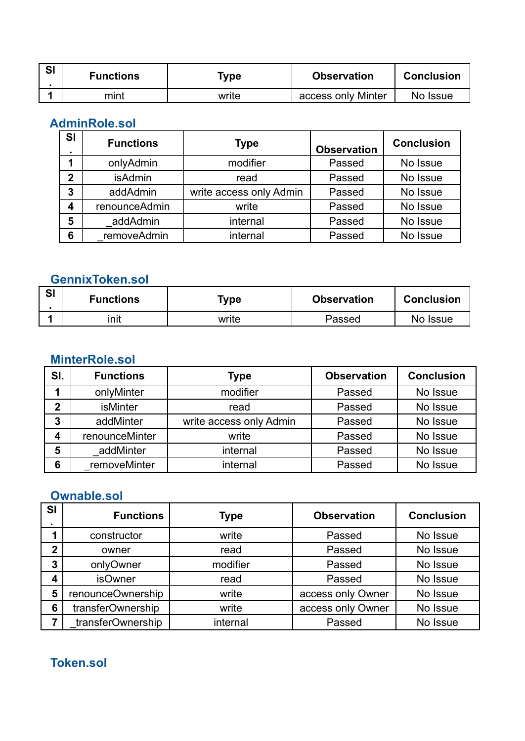| <b>SI</b> | <b>Functions</b> | Type  | <b>Observation</b> | <b>Conclusion</b> |
|-----------|------------------|-------|--------------------|-------------------|
|           | mint             | write | access only Minter | No Issue          |

### **AdminRole.sol**

| <b>SI</b>   | <b>Functions</b> | <b>Type</b>             | <b>Observation</b> | <b>Conclusion</b> |
|-------------|------------------|-------------------------|--------------------|-------------------|
|             | onlyAdmin        | modifier                | Passed             | No Issue          |
| $\mathbf 2$ | <b>isAdmin</b>   | read                    | Passed             | No Issue          |
| 3           | addAdmin         | write access only Admin | Passed             | No Issue          |
|             | renounceAdmin    | write                   | Passed             | No Issue          |
| 5           | addAdmin         | internal                | Passed             | No Issue          |
| 6           | removeAdmin      | internal                | Passed             | No Issue          |

### **GennixToken.sol**

| <b>SI</b> | <b>Functions</b> | ™уре  | <b>Observation</b> | <b>Conclusion</b> |
|-----------|------------------|-------|--------------------|-------------------|
|           | init             | write | Passed             | No Issue          |

## **MinterRole.sol**

| SI. | <b>Functions</b> | <b>Type</b>             | <b>Observation</b> | <b>Conclusion</b> |
|-----|------------------|-------------------------|--------------------|-------------------|
|     | onlyMinter       | modifier                | Passed             | No Issue          |
| 2   | <b>isMinter</b>  | read                    | Passed             | No Issue          |
| 3   | addMinter        | write access only Admin | Passed             | No Issue          |
|     | renounceMinter   | write                   | Passed             | No Issue          |
| 5   | addMinter        | internal                | Passed             | No Issue          |
| 6   | removeMinter     | internal                | Passed             | No Issue          |

## **Ownable.sol**

| <b>SI</b>   | <b>Functions</b>  | Type     | <b>Observation</b> | <b>Conclusion</b> |
|-------------|-------------------|----------|--------------------|-------------------|
|             | constructor       | write    | Passed             | No Issue          |
| $\mathbf 2$ | owner             | read     | Passed             | No Issue          |
| 3           | onlyOwner         | modifier | Passed             | No Issue          |
|             | <b>isOwner</b>    | read     | Passed             | No Issue          |
| 5           | renounceOwnership | write    | access only Owner  | No Issue          |
| 6           | transferOwnership | write    | access only Owner  | No Issue          |
|             | transferOwnership | internal | Passed             | No Issue          |

**Token.sol**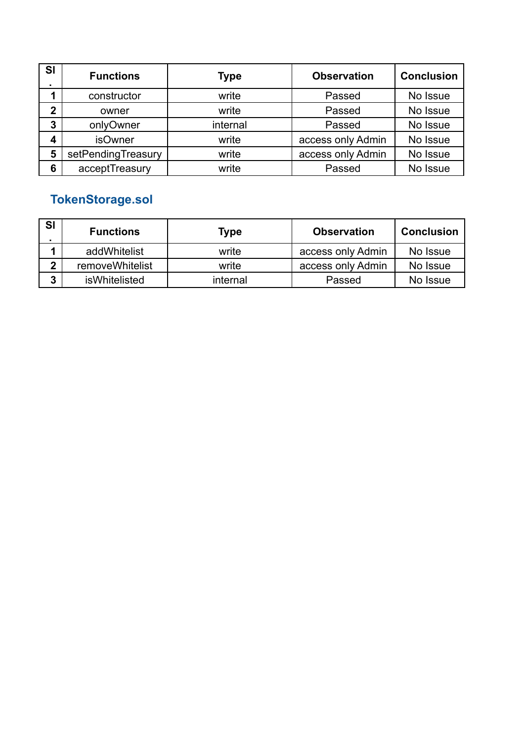| SI          | <b>Functions</b>   | Type     | <b>Observation</b> | <b>Conclusion</b> |
|-------------|--------------------|----------|--------------------|-------------------|
|             | constructor        | write    | Passed             | No Issue          |
| $\mathbf 2$ | owner              | write    | Passed             | No Issue          |
| 3           | onlyOwner          | internal | Passed             | No Issue          |
| 4           | <b>isOwner</b>     | write    | access only Admin  | No Issue          |
| 5           | setPendingTreasury | write    | access only Admin  | No Issue          |
| 6           | acceptTreasury     | write    | Passed             | No Issue          |

## **TokenStorage.sol**

| <b>SI</b> | <b>Functions</b> | Type     | <b>Observation</b> | <b>Conclusion</b> |
|-----------|------------------|----------|--------------------|-------------------|
|           | addWhitelist     | write    | access only Admin  | No Issue          |
| n         | removeWhitelist  | write    | access only Admin  | No Issue          |
| 2         | isWhitelisted    | internal | Passed             | No Issue          |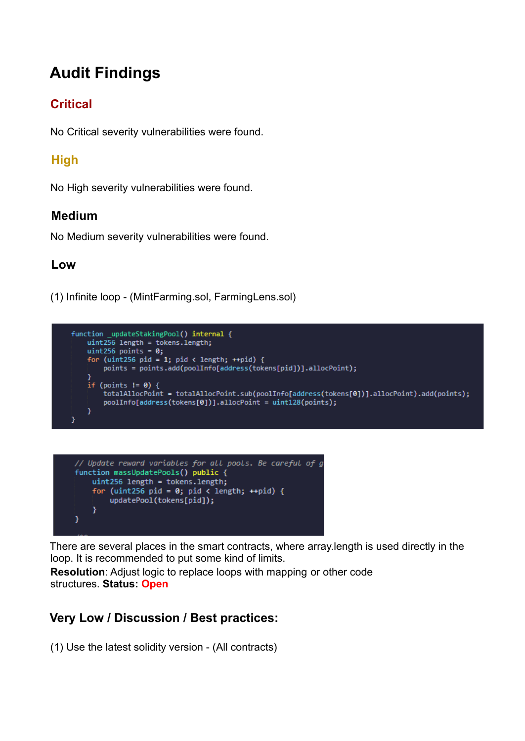# **Audit Findings**

### **Critical**

No Critical severity vulnerabilities were found.

### **High**

No High severity vulnerabilities were found.

#### **Medium**

No Medium severity vulnerabilities were found.

#### **Low**

(1) Infinite loop - (MintFarming.sol, FarmingLens.sol)





There are several places in the smart contracts, where array.length is used directly in the loop. It is recommended to put some kind of limits.

**Resolution**: Adjust logic to replace loops with mapping or other code structures. **Status: Open**

### **Very Low / Discussion / Best practices:**

(1) Use the latest solidity version - (All contracts)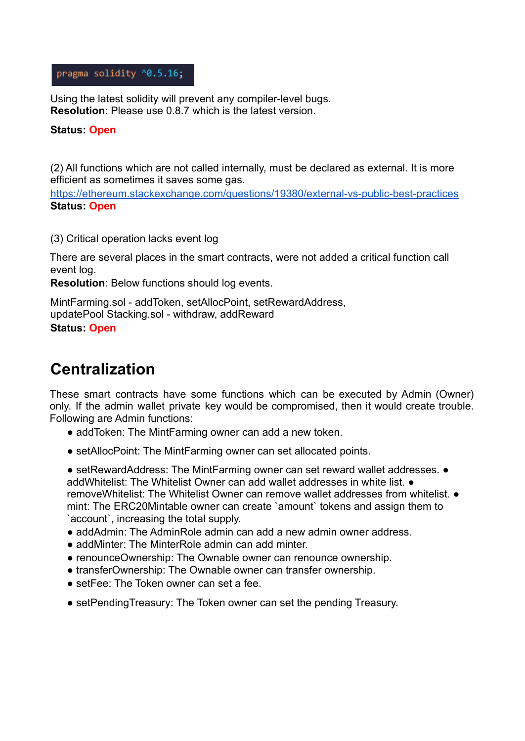#### pragma solidity ^0.5.16;

Using the latest solidity will prevent any compiler-level bugs. **Resolution**: Please use 0.8.7 which is the latest version.

#### **Status: Open**

(2) All functions which are not called internally, must be declared as external. It is more efficient as sometimes it saves some gas.

https://ethereum.stackexchange.com/questions/19380/external-vs-public-best-practices **Status: Open**

(3) Critical operation lacks event log

There are several places in the smart contracts, were not added a critical function call event log.

**Resolution**: Below functions should log events.

MintFarming.sol - addToken, setAllocPoint, setRewardAddress, updatePool Stacking.sol - withdraw, addReward **Status: Open**

## **Centralization**

These smart contracts have some functions which can be executed by Admin (Owner) only. If the admin wallet private key would be compromised, then it would create trouble. Following are Admin functions:

- add Token: The Mint Farming owner can add a new token.
- setAllocPoint: The MintFarming owner can set allocated points.

● setRewardAddress: The MintFarming owner can set reward wallet addresses. ● addWhitelist: The Whitelist Owner can add wallet addresses in white list. ● removeWhitelist: The Whitelist Owner can remove wallet addresses from whitelist. ● mint: The ERC20Mintable owner can create `amount` tokens and assign them to `account`, increasing the total supply.

- addAdmin: The AdminRole admin can add a new admin owner address.
- addMinter: The MinterRole admin can add minter.
- renounceOwnership: The Ownable owner can renounce ownership.
- transferOwnership: The Ownable owner can transfer ownership.
- setFee: The Token owner can set a fee.
- setPendingTreasury: The Token owner can set the pending Treasury.